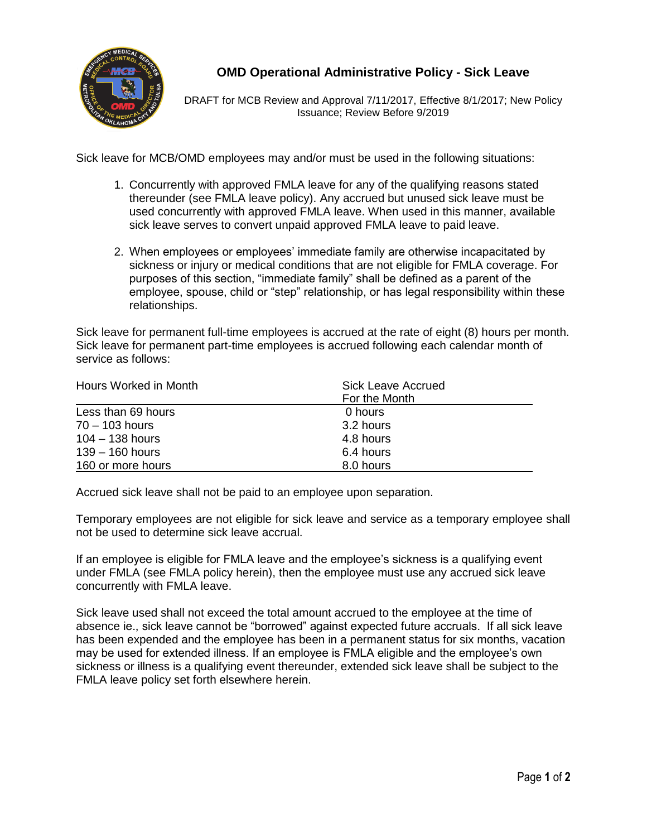

## **OMD Operational Administrative Policy - Sick Leave**

DRAFT for MCB Review and Approval 7/11/2017, Effective 8/1/2017; New Policy Issuance; Review Before 9/2019

Sick leave for MCB/OMD employees may and/or must be used in the following situations:

- 1. Concurrently with approved FMLA leave for any of the qualifying reasons stated thereunder (see FMLA leave policy). Any accrued but unused sick leave must be used concurrently with approved FMLA leave. When used in this manner, available sick leave serves to convert unpaid approved FMLA leave to paid leave.
- 2. When employees or employees' immediate family are otherwise incapacitated by sickness or injury or medical conditions that are not eligible for FMLA coverage. For purposes of this section, "immediate family" shall be defined as a parent of the employee, spouse, child or "step" relationship, or has legal responsibility within these relationships.

Sick leave for permanent full-time employees is accrued at the rate of eight (8) hours per month. Sick leave for permanent part-time employees is accrued following each calendar month of service as follows:

| Hours Worked in Month | Sick Leave Accrued<br>For the Month |  |
|-----------------------|-------------------------------------|--|
|                       |                                     |  |
| Less than 69 hours    | 0 hours                             |  |
| $70 - 103$ hours      | 3.2 hours                           |  |
| $104 - 138$ hours     | 4.8 hours                           |  |
| $139 - 160$ hours     | 6.4 hours                           |  |
| 160 or more hours     | 8.0 hours                           |  |

Accrued sick leave shall not be paid to an employee upon separation.

Temporary employees are not eligible for sick leave and service as a temporary employee shall not be used to determine sick leave accrual.

If an employee is eligible for FMLA leave and the employee's sickness is a qualifying event under FMLA (see FMLA policy herein), then the employee must use any accrued sick leave concurrently with FMLA leave.

Sick leave used shall not exceed the total amount accrued to the employee at the time of absence ie., sick leave cannot be "borrowed" against expected future accruals. If all sick leave has been expended and the employee has been in a permanent status for six months, vacation may be used for extended illness. If an employee is FMLA eligible and the employee's own sickness or illness is a qualifying event thereunder, extended sick leave shall be subject to the FMLA leave policy set forth elsewhere herein.